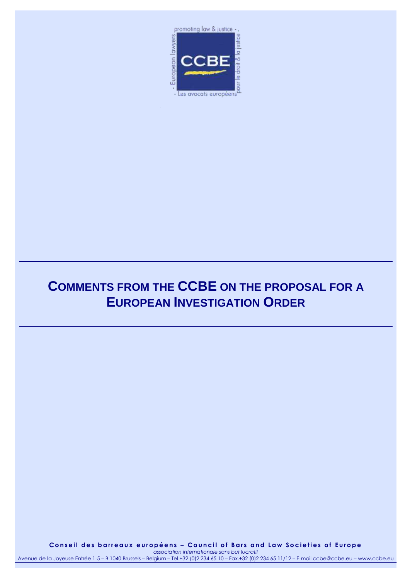

# **COMMENTS FROM THE CCBE ON THE PROPOSAL FOR A EUROPEAN INVESTIGATION ORDER**

**C o n s e i l d e s b a r r e a u x e u r o p é e n s – C o u n c i l o f B a r s a n d L a w S o c i e t i e s o f E u r o p e** *association internationale sans but lucratif*

Avenue de la Joyeuse Entrée 1-5 – B 1040 Brussels – Belgium – Tel.+32 (0)2 234 65 10 – Fax.+32 (0)2 234 65 11/12 – E-mail ccbe@ccbe.eu – www.ccbe.eu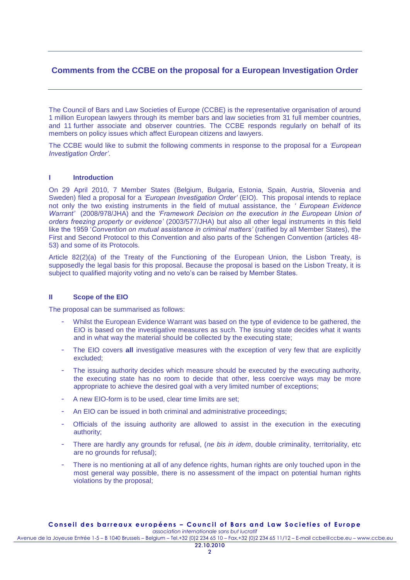## **Comments from the CCBE on the proposal for a European Investigation Order**

The Council of Bars and Law Societies of Europe (CCBE) is the representative organisation of around 1 million European lawyers through its member bars and law societies from 31 full member countries, and 11 further associate and observer countries. The CCBE responds regularly on behalf of its members on policy issues which affect European citizens and lawyers.

The CCBE would like to submit the following comments in response to the proposal for a *"European Investigation Order"*.

## **I Introduction**

On 29 April 2010, 7 Member States (Belgium, Bulgaria, Estonia, Spain, Austria, Slovenia and Sweden) filed a proposal for a *"European Investigation Order"* (EIO). This proposal intends to replace not only the two existing instruments in the field of mutual assistance, the *" European Evidence Warrant"* (2008/978/JHA) and the *"Framework Decision on the execution in the European Union of orders freezing property or evidence"* (2003/577/JHA) but also all other legal instruments in this field like the 1959 '*Convention on mutual assistance in criminal matters"* (ratified by all Member States), the First and Second Protocol to this Convention and also parts of the Schengen Convention (articles 48- 53) and some of its Protocols.

Article 82(2)(a) of the Treaty of the Functioning of the European Union, the Lisbon Treaty, is supposedly the legal basis for this proposal. Because the proposal is based on the Lisbon Treaty, it is subject to qualified majority voting and no veto's can be raised by Member States.

#### **II Scope of the EIO**

The proposal can be summarised as follows:

- Whilst the European Evidence Warrant was based on the type of evidence to be gathered, the EIO is based on the investigative measures as such. The issuing state decides what it wants and in what way the material should be collected by the executing state;
- The EIO covers all investigative measures with the exception of very few that are explicitly excluded;
- The issuing authority decides which measure should be executed by the executing authority, the executing state has no room to decide that other, less coercive ways may be more appropriate to achieve the desired goal with a very limited number of exceptions;
- A new EIO-form is to be used, clear time limits are set:
- An EIO can be issued in both criminal and administrative proceedings;
- Officials of the issuing authority are allowed to assist in the execution in the executing authority;
- There are hardly any grounds for refusal, (*ne bis in idem*, double criminality, territoriality, etc are no grounds for refusal);
- There is no mentioning at all of any defence rights, human rights are only touched upon in the most general way possible, there is no assessment of the impact on potential human rights violations by the proposal;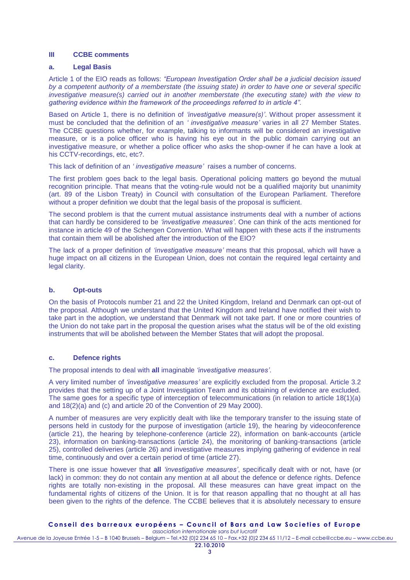#### **III CCBE comments**

#### **a. Legal Basis**

Article 1 of the EIO reads as follows: *"European Investigation Order shall be a judicial decision issued by a competent authority of a memberstate (the issuing state) in order to have one or several specific investigative measure(s) carried out in another memberstate (the executing state) with the view to gathering evidence within the framework of the proceedings referred to in article 4".*

Based on Article 1, there is no definition of *"investigative measure(s)"*. Without proper assessment it must be concluded that the definition of an *" investigative measure"* varies in all 27 Member States. The CCBE questions whether, for example, talking to informants will be considered an investigative measure, or is a police officer who is having his eye out in the public domain carrying out an investigative measure, or whether a police officer who asks the shop-owner if he can have a look at his CCTV-recordings, etc, etc?.

This lack of definition of an *" investigative measure"* raises a number of concerns.

The first problem goes back to the legal basis. Operational policing matters go beyond the mutual recognition principle. That means that the voting-rule would not be a qualified majority but unanimity (art. 89 of the Lisbon Treaty) in Council with consultation of the European Parliament. Therefore without a proper definition we doubt that the legal basis of the proposal is sufficient.

The second problem is that the current mutual assistance instruments deal with a number of actions that can hardly be considered to be *"investigative measures"*. One can think of the acts mentioned for instance in article 49 of the Schengen Convention. What will happen with these acts if the instruments that contain them will be abolished after the introduction of the EIO?

The lack of a proper definition of *"investigative measure"* means that this proposal, which will have a huge impact on all citizens in the European Union, does not contain the required legal certainty and legal clarity.

#### **b. Opt-outs**

On the basis of Protocols number 21 and 22 the United Kingdom, Ireland and Denmark can opt-out of the proposal. Although we understand that the United Kingdom and Ireland have notified their wish to take part in the adoption, we understand that Denmark will not take part. If one or more countries of the Union do not take part in the proposal the question arises what the status will be of the old existing instruments that will be abolished between the Member States that will adopt the proposal.

## **c. Defence rights**

The proposal intends to deal with **all** imaginable *"investigative measures"*.

A very limited number of *"investigative measures"* are explicitly excluded from the proposal. Article 3.2 provides that the setting up of a Joint Investigation Team and its obtaining of evidence are excluded. The same goes for a specific type of interception of telecommunications (in relation to article 18(1)(a) and 18(2)(a) and (c) and article 20 of the Convention of 29 May 2000).

A number of measures are very explicitly dealt with like the temporary transfer to the issuing state of persons held in custody for the purpose of investigation (article 19), the hearing by videoconference (article 21), the hearing by telephone-conference (article 22), information on bank-accounts (article 23), information on banking-transactions (article 24), the monitoring of banking-transactions (article 25), controlled deliveries (article 26) and investigative measures implying gathering of evidence in real time, continuously and over a certain period of time (article 27).

There is one issue however that **all** *"investigative measures"*, specifically dealt with or not, have (or lack) in common: they do not contain any mention at all about the defence or defence rights. Defence rights are totally non-existing in the proposal. All these measures can have great impact on the fundamental rights of citizens of the Union. It is for that reason appalling that no thought at all has been given to the rights of the defence. The CCBE believes that it is absolutely necessary to ensure

## **C o n s e i l d e s b a r r e a u x e u r o p é e n s – C o u n c i l o f B a r s a n d L a w S o c i e t i e s o f E u r o p e**

*association internationale sans but lucratif* Avenue de la Joyeuse Entrée 1-5 – B 1040 Brussels – Belgium – Tel.+32 (0)2 234 65 10 – Fax.+32 (0)2 234 65 11/12 – E-mail ccbe@ccbe.eu – www.ccbe.eu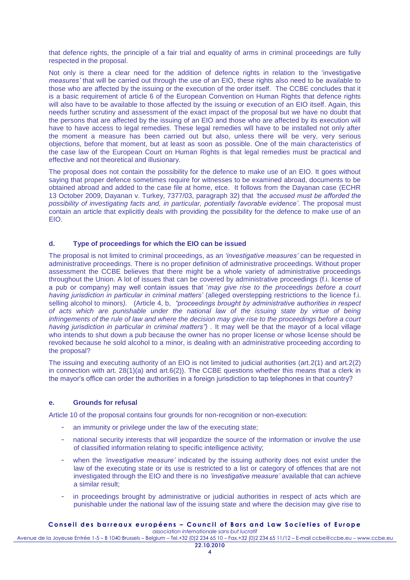that defence rights, the principle of a fair trial and equality of arms in criminal proceedings are fully respected in the proposal.

Not only is there a clear need for the addition of defence rights in relation to the 'investigative *measures"* that will be carried out through the use of an EIO, these rights also need to be available to those who are affected by the issuing or the execution of the order itself. The CCBE concludes that it is a basic requirement of article 6 of the European Convention on Human Rights that defence rights will also have to be available to those affected by the issuing or execution of an EIO itself. Again, this needs further scrutiny and assessment of the exact impact of the proposal but we have no doubt that the persons that are affected by the issuing of an EIO and those who are affected by its execution will have to have access to legal remedies. These legal remedies will have to be installed not only after the moment a measure has been carried out but also, unless there will be very, very serious objections, before that moment, but at least as soon as possible. One of the main characteristics of the case law of the European Court on Human Rights is that legal remedies must be practical and effective and not theoretical and illusionary.

The proposal does not contain the possibility for the defence to make use of an EIO. It goes without saying that proper defence sometimes require for witnesses to be examined abroad, documents to be obtained abroad and added to the case file at home, etce. It follows from the Dayanan case (ECHR 13 October 2009, Dayanan v. Turkey, 7377/03, paragraph 32) that *"the accused must be afforded the possibility of investigating facts and, in particular, potentially favorable evidence".* The proposal must contain an article that explicitly deals with providing the possibility for the defence to make use of an EIO.

#### **d. Type of proceedings for which the EIO can be issued**

The proposal is not limited to criminal proceedings, as an *"investigative measures"* can be requested in administrative proceedings. There is no proper definition of administrative proceedings. Without proper assessment the CCBE believes that there might be a whole variety of administrative proceedings throughout the Union. A lot of issues that can be covered by administrative proceedings (f.i. license of a pub or company) may well contain issues that '*may give rise to the proceedings before a court having jurisdiction in particular in criminal matters"* (alleged overstepping restrictions to the licence f.i. selling alcohol to minors*).* (Article 4, b, *"proceedings brought by administrative authorities in respect of acts which are punishable under the national law of the issuing state by virtue of being infringements of the rule of law and where the decision may give rise to the proceedings before a court having jurisdiction in particular in criminal matters") .* It may well be that the mayor of a local village who intends to shut down a pub because the owner has no proper license or whose license should be revoked because he sold alcohol to a minor, is dealing with an administrative proceeding according to the proposal?

The issuing and executing authority of an EIO is not limited to judicial authorities (art.2(1) and art.2(2) in connection with art.  $28(1)(a)$  and art.  $6(2)$ ). The CCBE questions whether this means that a clerk in the mayor's office can order the authorities in a foreign jurisdiction to tap telephones in that country?

## **e. Grounds for refusal**

Article 10 of the proposal contains four grounds for non-recognition or non-execution:

- an immunity or privilege under the law of the executing state;
- national security interests that will jeopardize the source of the information or involve the use of classified information relating to specific intelligence activity;
- when the *"investigative measure"* indicated by the issuing authority does not exist under the law of the executing state or its use is restricted to a list or category of offences that are not investigated through the EIO and there is no *"investigative measure"* available that can achieve a similar result;
- in proceedings brought by administrative or judicial authorities in respect of acts which are punishable under the national law of the issuing state and where the decision may give rise to

#### **C o n s e i l d e s b a r r e a u x e u r o p é e n s – C o u n c i l o f B a r s a n d L a w S o c i e t i e s o f E u r o p e** *association internationale sans but lucratif*

Avenue de la Joyeuse Entrée 1-5 – B 1040 Brussels – Belgium – Tel.+32 (0)2 234 65 10 – Fax.+32 (0)2 234 65 11/12 – E-mail ccbe@ccbe.eu – www.ccbe.eu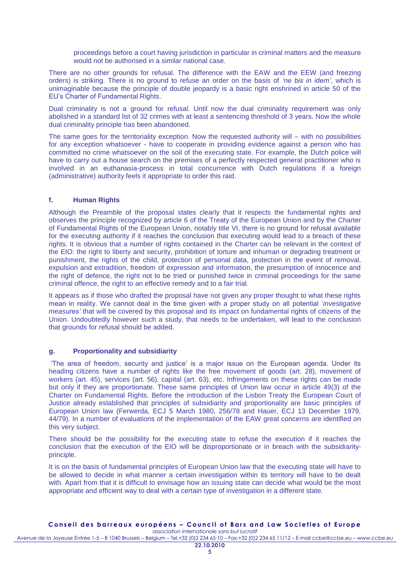proceedings before a court having jurisdiction in particular in criminal matters and the measure would not be authorised in a similar national case.

There are no other grounds for refusal. The difference with the EAW and the EEW (and freezing orders) is striking. There is no ground to refuse an order on the basis of *"ne bis in idem"*, which is unimaginable because the principle of double jeopardy is a basic right enshrined in article 50 of the EU's Charter of Fundamental Rights.

Dual criminality is not a ground for refusal. Until now the dual criminality requirement was only abolished in a standard list of 32 crimes with at least a sentencing threshold of 3 years. Now the whole dual criminality principle has been abandoned.

The same goes for the territoriality exception. Now the requested authority will – with no possibilities for any exception whatsoever - have to cooperate in providing evidence against a person who has committed no crime whatsoever on the soil of the executing state. For example, the Dutch police will have to carry out a house search on the premises of a perfectly respected general practitioner who is involved in an euthanasia-process in total concurrence with Dutch regulations if a foreign (administrative) authority feels it appropriate to order this raid.

## **f. Human Rights**

Although the Preamble of the proposal states clearly that it respects the fundamental rights and observes the principle recognized by article 6 of the Treaty of the European Union and by the Charter of Fundamental Rights of the European Union, notably title VI, there is no ground for refusal available for the executing authority if it reaches the conclusion that executing would lead to a breach of these rights. It is obvious that a number of rights contained in the Charter can be relevant in the context of the EIO: the right to liberty and security, prohibition of torture and inhuman or degrading treatment or punishment, the rights of the child, protection of personal data, protection in the event of removal, expulsion and extradition, freedom of expression and information, the presumption of innocence and the right of defence, the right not to be tried or punished twice in criminal proceedings for the same criminal offence, the right to an effective remedy and to a fair trial.

It appears as if those who drafted the proposal have not given any proper thought to what these rights mean in reality. We cannot deal in the time given with a proper study on all potential '*investigative measures"* that will be covered by this proposal and its impact on fundamental rights of citizens of the Union. Undoubtedly however such a study, that needs to be undertaken, will lead to the conclusion that grounds for refusal should be added.

#### **g. Proportionality and subsidiarity**

'The area of freedom, security and justice' is a major issue on the European agenda. Under its heading citizens have a number of rights like the free movement of goods (art. 28), movement of workers (art. 45), services (art. 56), capital (art. 63), etc. Infringements on these rights can be made but only if they are proportionate. These same principles of Union law occur in article 49(3) of the Charter on Fundamental Rights. Before the introduction of the Lisbon Treaty the European Court of Justice already established that principles of subsidiarity and proportionality are basic principles of European Union law (Ferwerda, ECJ 5 March 1980, 256/78 and Hauer, ECJ 13 December 1979, 44/79). In a number of evaluations of the implementation of the EAW great concerns are identified on this very subject.

There should be the possibility for the executing state to refuse the execution if it reaches the conclusion that the execution of the EIO will be disproportionate or in breach with the subsidiarityprinciple.

It is on the basis of fundamental principles of European Union law that the executing state will have to be allowed to decide in what manner a certain investigation within its territory will have to be dealt with. Apart from that it is difficult to envisage how an issuing state can decide what would be the most appropriate and efficient way to deal with a certain type of investigation in a different state.

#### Conseil des barreaux européens - Council of Bars and Law Societies of Europe *association internationale sans but lucratif*

Avenue de la Joyeuse Entrée 1-5 – B 1040 Brussels – Belgium – Tel.+32 (0)2 234 65 10 – Fax.+32 (0)2 234 65 11/12 – E-mail ccbe@ccbe.eu – www.ccbe.eu